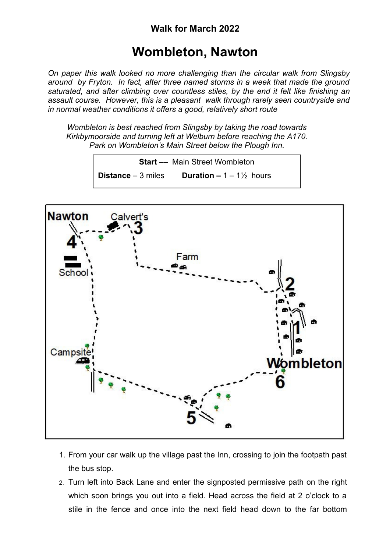## **Wombleton, Nawton**

*On paper this walk looked no more challenging than the circular walk from Slingsby around by Fryton. In fact, after three named storms in a week that made the ground saturated, and after climbing over countless stiles, by the end it felt like finishing an assault course. However, this is a pleasant walk through rarely seen countryside and in normal weather conditions it offers a good, relatively short route*

*Wombleton is best reached from Slingsby by taking the road towards Kirkbymoorside and turning left at Welburn before reaching the A170. Park on Wombleton's Main Street below the Plough Inn.*

> **Start** –– Main Street Wombleton **Distance** – 3 miles **Duration –** 1 – 1½ hours



- 1. From your car walk up the village past the Inn, crossing to join the footpath past the bus stop.
- 2. Turn left into Back Lane and enter the signposted permissive path on the right which soon brings you out into a field. Head across the field at 2 o'clock to a stile in the fence and once into the next field head down to the far bottom